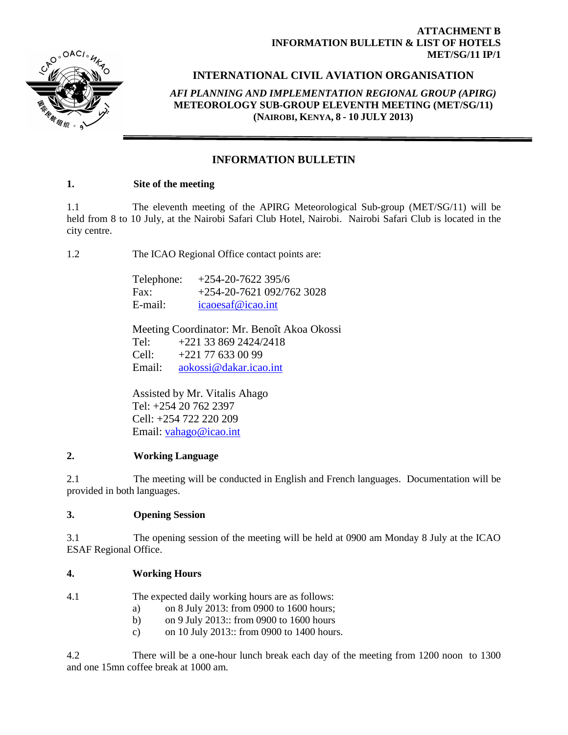

## **ATTACHMENT B INFORMATION BULLETIN & LIST OF HOTELS MET/SG/11 IP/1**

# **INTERNATIONAL CIVIL AVIATION ORGANISATION**

*AFI PLANNING AND IMPLEMENTATION REGIONAL GROUP (APIRG)* **METEOROLOGY SUB-GROUP ELEVENTH MEETING (MET/SG/11) (NAIROBI, KENYA, 8 - 10 JULY 2013)**

# **INFORMATION BULLETIN**

## **1. Site of the meeting**

1.1 The eleventh meeting of the APIRG Meteorological Sub-group (MET/SG/11) will be held from 8 to 10 July, at the Nairobi Safari Club Hotel, Nairobi. Nairobi Safari Club is located in the city centre.

1.2 The ICAO Regional Office contact points are:

| Telephone: | $+254-20-7622395/6$       |
|------------|---------------------------|
| Fax:       | $+254-20-7621092/7623028$ |
| E-mail:    | icaoesaf@icao.int         |

Meeting Coordinator: Mr. Benoît Akoa Okossi Tel: +221 33 869 2424/2418 Cell: +221 77 633 00 99 Email: [aokossi@dakar.icao.int](mailto:aokossi@dakar.icao.int)

Assisted by Mr. Vitalis Ahago Tel: +254 20 762 2397 Cell: +254 722 220 209 Email: [vahago@icao.int](mailto:vahago@icao.int)

### **2. Working Language**

2.1 The meeting will be conducted in English and French languages. Documentation will be provided in both languages.

# **3. Opening Session**

3.1 The opening session of the meeting will be held at 0900 am Monday 8 July at the ICAO ESAF Regional Office.

# **4. Working Hours**

| The expected daily working hours are as follows: |
|--------------------------------------------------|
|                                                  |

- a) on 8 July 2013: from 0900 to 1600 hours;
- b) on 9 July 2013:: from 0900 to 1600 hours
- c) on 10 July 2013:: from 0900 to 1400 hours.

4.2 There will be a one-hour lunch break each day of the meeting from 1200 noon to 1300 and one 15mn coffee break at 1000 am.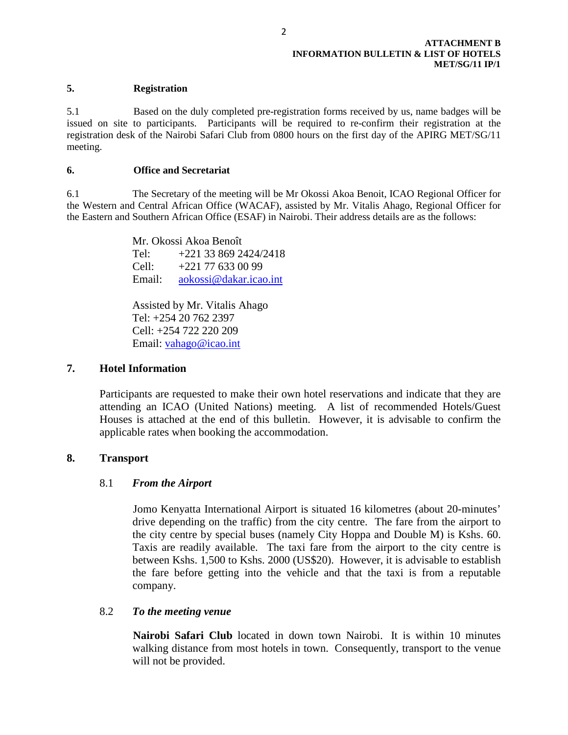#### **5. Registration**

5.1 Based on the duly completed pre-registration forms received by us, name badges will be issued on site to participants. Participants will be required to re-confirm their registration at the registration desk of the Nairobi Safari Club from 0800 hours on the first day of the APIRG MET/SG/11 meeting.

#### **6. Office and Secretariat**

6.1 The Secretary of the meeting will be Mr Okossi Akoa Benoit, ICAO Regional Officer for the Western and Central African Office (WACAF), assisted by Mr. Vitalis Ahago, Regional Officer for the Eastern and Southern African Office (ESAF) in Nairobi. Their address details are as the follows:

> Mr. Okossi Akoa Benoît Tel: +221 33 869 2424/2418 Cell: +221 77 633 00 99 Email: [aokossi@dakar.icao.int](mailto:aokossi@dakar.icao.int)

Assisted by Mr. Vitalis Ahago Tel: +254 20 762 2397 Cell: +254 722 220 209 Email: [vahago@icao.int](mailto:vahago@icao.int)

## **7. Hotel Information**

Participants are requested to make their own hotel reservations and indicate that they are attending an ICAO (United Nations) meeting. A list of recommended Hotels/Guest Houses is attached at the end of this bulletin. However, it is advisable to confirm the applicable rates when booking the accommodation.

### **8. Transport**

### 8.1 *From the Airport*

Jomo Kenyatta International Airport is situated 16 kilometres (about 20-minutes' drive depending on the traffic) from the city centre. The fare from the airport to the city centre by special buses (namely City Hoppa and Double M) is Kshs. 60. Taxis are readily available. The taxi fare from the airport to the city centre is between Kshs. 1,500 to Kshs. 2000 (US\$20). However, it is advisable to establish the fare before getting into the vehicle and that the taxi is from a reputable company.

### 8.2 *To the meeting venue*

**Nairobi Safari Club** located in down town Nairobi. It is within 10 minutes walking distance from most hotels in town. Consequently, transport to the venue will not be provided.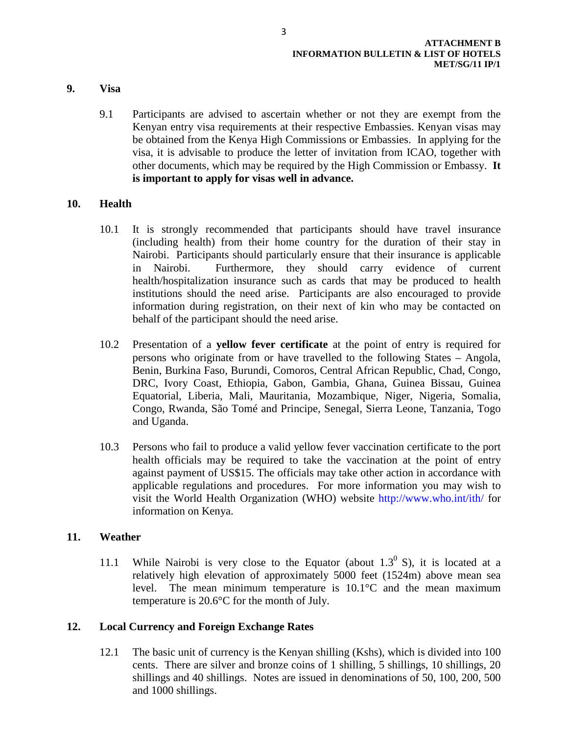- **9. Visa**
	- 9.1 Participants are advised to ascertain whether or not they are exempt from the Kenyan entry visa requirements at their respective Embassies. Kenyan visas may be obtained from the Kenya High Commissions or Embassies. In applying for the visa, it is advisable to produce the letter of invitation from ICAO, together with other documents, which may be required by the High Commission or Embassy. **It is important to apply for visas well in advance.**

## **10. Health**

- 10.1 It is strongly recommended that participants should have travel insurance (including health) from their home country for the duration of their stay in Nairobi. Participants should particularly ensure that their insurance is applicable in Nairobi. Furthermore, they should carry evidence of current health/hospitalization insurance such as cards that may be produced to health institutions should the need arise. Participants are also encouraged to provide information during registration, on their next of kin who may be contacted on behalf of the participant should the need arise.
- 10.2 Presentation of a **yellow fever certificate** at the point of entry is required for persons who originate from or have travelled to the following States – Angola, Benin, Burkina Faso, Burundi, Comoros, Central African Republic, Chad, Congo, DRC, Ivory Coast, Ethiopia, Gabon, Gambia, Ghana, Guinea Bissau, Guinea Equatorial, Liberia, Mali, Mauritania, Mozambique, Niger, Nigeria, Somalia, Congo, Rwanda, São Tomé and Principe, Senegal, Sierra Leone, Tanzania, Togo and Uganda.
- 10.3 Persons who fail to produce a valid yellow fever vaccination certificate to the port health officials may be required to take the vaccination at the point of entry against payment of US\$15. The officials may take other action in accordance with applicable regulations and procedures. For more information you may wish to visit the World Health Organization (WHO) website<http://www.who.int/ith/> for information on Kenya.

# **11. Weather**

11.1 While Nairobi is very close to the Equator (about  $1.3^{\circ}$  S), it is located at a relatively high elevation of approximately 5000 feet (1524m) above mean sea level. The mean minimum temperature is 10.1°C and the mean maximum temperature is 20.6°C for the month of July.

### **12. Local Currency and Foreign Exchange Rates**

12.1 The basic unit of currency is the Kenyan shilling (Kshs), which is divided into 100 cents. There are silver and bronze coins of 1 shilling, 5 shillings, 10 shillings, 20 shillings and 40 shillings. Notes are issued in denominations of 50, 100, 200, 500 and 1000 shillings.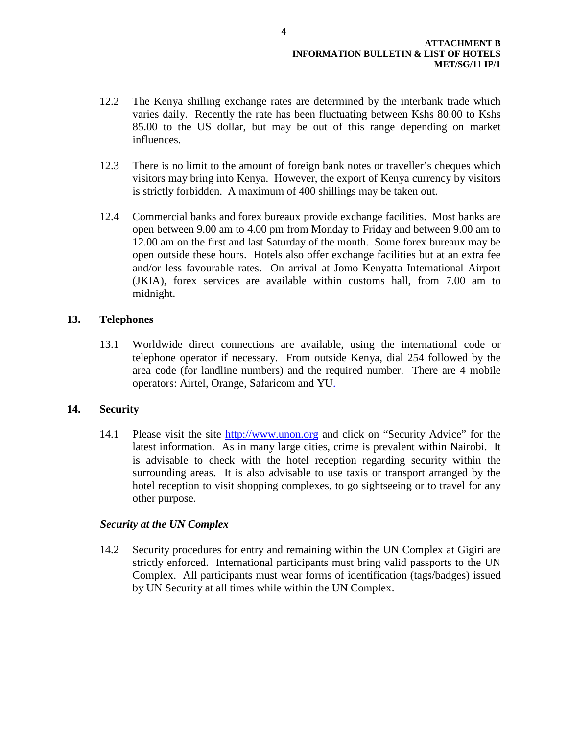- 12.2 The Kenya shilling exchange rates are determined by the interbank trade which varies daily. Recently the rate has been fluctuating between Kshs 80.00 to Kshs 85.00 to the US dollar, but may be out of this range depending on market influences.
- 12.3 There is no limit to the amount of foreign bank notes or traveller's cheques which visitors may bring into Kenya. However, the export of Kenya currency by visitors is strictly forbidden. A maximum of 400 shillings may be taken out.
- 12.4 Commercial banks and forex bureaux provide exchange facilities. Most banks are open between 9.00 am to 4.00 pm from Monday to Friday and between 9.00 am to 12.00 am on the first and last Saturday of the month. Some forex bureaux may be open outside these hours. Hotels also offer exchange facilities but at an extra fee and/or less favourable rates. On arrival at Jomo Kenyatta International Airport (JKIA), forex services are available within customs hall, from 7.00 am to midnight.

# **13. Telephones**

13.1 Worldwide direct connections are available, using the international code or telephone operator if necessary. From outside Kenya, dial 254 followed by the area code (for landline numbers) and the required number. There are 4 mobile operators: Airtel, Orange, Safaricom and YU.

# **14. Security**

14.1 Please visit the site [http://www.unon.org](http://www.unon.org/) and click on "Security Advice" for the latest information. As in many large cities, crime is prevalent within Nairobi. It is advisable to check with the hotel reception regarding security within the surrounding areas. It is also advisable to use taxis or transport arranged by the hotel reception to visit shopping complexes, to go sightseeing or to travel for any other purpose.

# *Security at the UN Complex*

14.2 Security procedures for entry and remaining within the UN Complex at Gigiri are strictly enforced. International participants must bring valid passports to the UN Complex. All participants must wear forms of identification (tags/badges) issued by UN Security at all times while within the UN Complex.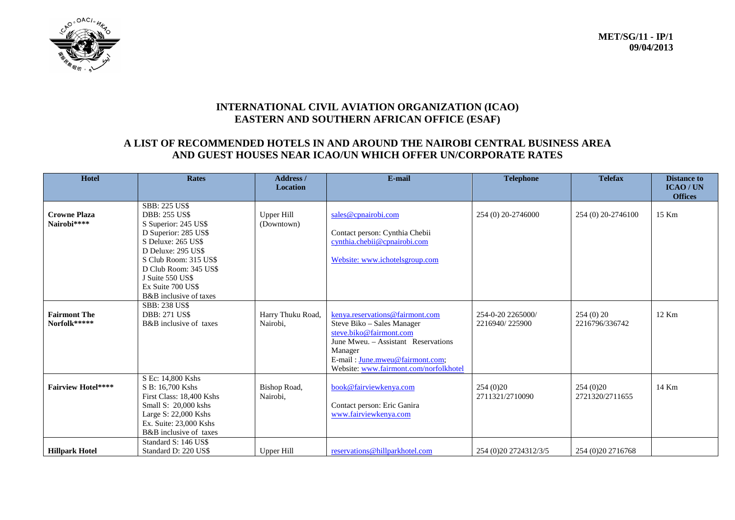

# **INTERNATIONAL CIVIL AVIATION ORGANIZATION (ICAO) EASTERN AND SOUTHERN AFRICAN OFFICE (ESAF)**

# **A LIST OF RECOMMENDED HOTELS IN AND AROUND THE NAIROBI CENTRAL BUSINESS AREA AND GUEST HOUSES NEAR ICAO/UN WHICH OFFER UN/CORPORATE RATES**

| Hotel                               | <b>Rates</b><br>Address /<br><b>Location</b>                                                                                                                                                                                                                  |                                 | E-mail                                                                                                                                                                                                                  |                                     | <b>Telefax</b>                | <b>Distance to</b><br><b>ICAO/UN</b><br><b>Offices</b> |
|-------------------------------------|---------------------------------------------------------------------------------------------------------------------------------------------------------------------------------------------------------------------------------------------------------------|---------------------------------|-------------------------------------------------------------------------------------------------------------------------------------------------------------------------------------------------------------------------|-------------------------------------|-------------------------------|--------------------------------------------------------|
| <b>Crowne Plaza</b><br>Nairobi****  | <b>SBB: 225 US\$</b><br><b>DBB: 255 US\$</b><br>S Superior: 245 US\$<br>D Superior: 285 US\$<br>S Deluxe: 265 US\$<br>D Deluxe: 295 US\$<br>S Club Room: 315 US\$<br>D Club Room: 345 US\$<br>J Suite 550 US\$<br>Ex Suite 700 US\$<br>B&B inclusive of taxes | <b>Upper Hill</b><br>(Downtown) | sales@cpnairobi.com<br>Contact person: Cynthia Chebii<br>cynthia.chebii@cpnairobi.com<br>Website: www.ichotelsgroup.com                                                                                                 | 254 (0) 20-2746000                  | 254 (0) 20-2746100            | 15 Km                                                  |
| <b>Fairmont The</b><br>Norfolk***** | <b>SBB: 238 US\$</b><br><b>DBB: 271 US\$</b><br>B&B inclusive of taxes                                                                                                                                                                                        | Harry Thuku Road,<br>Nairobi,   | kenya.reservations@fairmont.com<br>Steve Biko - Sales Manager<br>steve.biko@fairmont.com<br>June Mweu. - Assistant Reservations<br>Manager<br>E-mail: June.mweu@fairmont.com;<br>Website: www.fairmont.com/norfolkhotel | 254-0-20 2265000/<br>2216940/225900 | 254(0)20<br>2216796/336742    | 12 Km                                                  |
| <b>Fairview Hotel****</b>           | S Ec: 14,800 Kshs<br>S B: 16,700 Kshs<br>First Class: 18,400 Kshs<br>Small S: 20,000 kshs<br>Large S: 22,000 Kshs<br>Ex. Suite: 23,000 Kshs<br>B&B inclusive of taxes                                                                                         | Bishop Road,<br>Nairobi,        | book@fairviewkenya.com<br>Contact person: Eric Ganira<br>www.fairviewkenya.com                                                                                                                                          | 254(0)20<br>2711321/2710090         | 254 (0) 20<br>2721320/2711655 | 14 Km                                                  |
| <b>Hillpark Hotel</b>               | Standard S: 146 US\$<br>Standard D: 220 US\$                                                                                                                                                                                                                  | Upper Hill                      | reservations@hillparkhotel.com                                                                                                                                                                                          | 254 (0) 20 27 24 31 2/3/5           | 254 (0) 20 27 16768           |                                                        |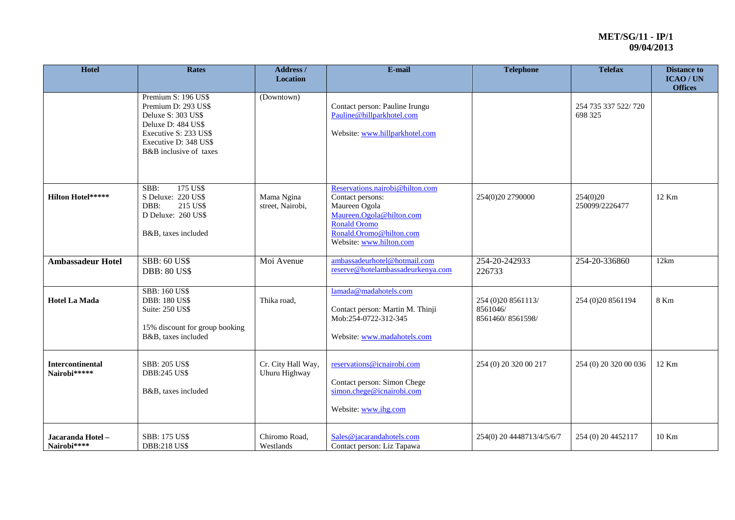| Hotel                                   | <b>Rates</b>                                                                                                                                                       | Address /<br><b>Location</b>        | E-mail                                                                                                                                                                        | <b>Telephone</b>                                   | <b>Telefax</b>                 | <b>Distance to</b><br><b>ICAO/UN</b><br><b>Offices</b> |
|-----------------------------------------|--------------------------------------------------------------------------------------------------------------------------------------------------------------------|-------------------------------------|-------------------------------------------------------------------------------------------------------------------------------------------------------------------------------|----------------------------------------------------|--------------------------------|--------------------------------------------------------|
|                                         | Premium S: 196 US\$<br>Premium D: 293 US\$<br>Deluxe S: 303 US\$<br>Deluxe D: 484 US\$<br>Executive S: 233 US\$<br>Executive D: 348 US\$<br>B&B inclusive of taxes | (Downtown)                          | Contact person: Pauline Irungu<br>Pauline@hillparkhotel.com<br>Website: www.hillparkhotel.com                                                                                 |                                                    | 254 735 337 522/720<br>698 325 |                                                        |
| <b>Hilton Hotel*****</b>                | 175 US\$<br>SBB:<br>S Deluxe: 220 US\$<br>DBB:<br>215 US\$<br>D Deluxe: 260 US\$<br>B&B, taxes included                                                            | Mama Ngina<br>street, Nairobi,      | Reservations.nairobi@hilton.com<br>Contact persons:<br>Maureen Ogola<br>Maureen.Ogola@hilton.com<br><b>Ronald Oromo</b><br>Ronald.Oromo@hilton.com<br>Website: www.hilton.com | 254(0)20 2790000                                   | 254(0)20<br>250099/2226477     | 12 Km                                                  |
| <b>Ambassadeur Hotel</b>                | <b>SBB: 60 US\$</b><br><b>DBB: 80 US\$</b>                                                                                                                         | Moi Avenue                          | ambassadeurhotel@hotmail.com<br>reserve@hotelambassadeurkenya.com                                                                                                             | 254-20-242933<br>226733                            | 254-20-336860                  | 12km                                                   |
| <b>Hotel La Mada</b>                    | <b>SBB: 160 US\$</b><br><b>DBB: 180 US\$</b><br>Suite: 250 US\$<br>15% discount for group booking<br>B&B, taxes included                                           | Thika road,                         | lamada@madahotels.com<br>Contact person: Martin M. Thinji<br>Mob:254-0722-312-345<br>Website: www.madahotels.com                                                              | 254 (0)20 8561113/<br>8561046/<br>8561460/8561598/ | 254 (0) 20 8561194             | 8 Km                                                   |
| <b>Intercontinental</b><br>Nairobi***** | <b>SBB: 205 US\$</b><br><b>DBB:245 US\$</b><br>B&B, taxes included                                                                                                 | Cr. City Hall Way,<br>Uhuru Highway | reservations@icnairobi.com<br>Contact person: Simon Chege<br>simon.chege@icnairobi.com<br>Website: www.ihg.com                                                                | 254 (0) 20 320 00 217                              | 254 (0) 20 320 00 036          | 12 Km                                                  |
| Jacaranda Hotel-<br>Nairobi****         | SBB: 175 US\$<br><b>DBB:218 US\$</b>                                                                                                                               | Chiromo Road,<br>Westlands          | Sales@jacarandahotels.com<br>Contact person: Liz Tapawa                                                                                                                       | 254(0) 20 4448713/4/5/6/7                          | 254 (0) 20 4452117             | 10 Km                                                  |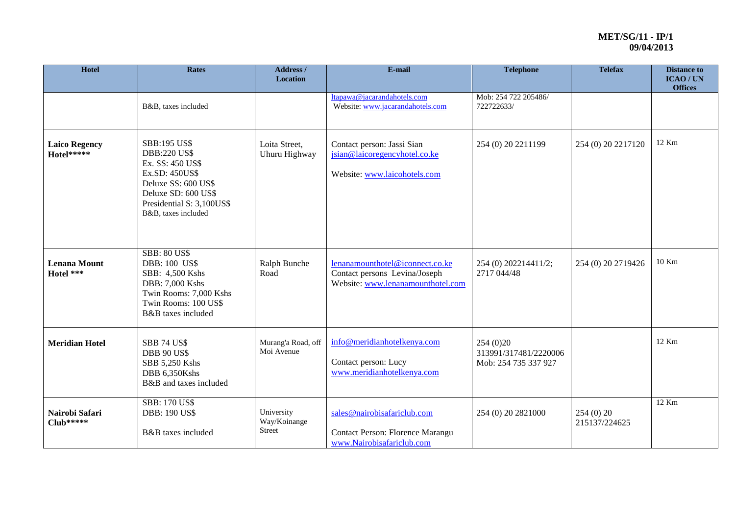| Hotel                              | <b>Rates</b>                                                                                                                                                                       | Address /<br><b>Location</b>                | E-mail<br><b>Telephone</b>                                                                                                                   |                                                             | <b>Telefax</b>            | <b>Distance to</b><br>ICAO / UN<br><b>Offices</b> |
|------------------------------------|------------------------------------------------------------------------------------------------------------------------------------------------------------------------------------|---------------------------------------------|----------------------------------------------------------------------------------------------------------------------------------------------|-------------------------------------------------------------|---------------------------|---------------------------------------------------|
|                                    | B&B, taxes included                                                                                                                                                                |                                             | ltapawa@jacarandahotels.com<br>Website: www.jacarandahotels.com                                                                              | Mob: 254 722 205486/<br>722722633/                          |                           |                                                   |
| <b>Laico Regency</b><br>Hotel***** | <b>SBB:195 US\$</b><br><b>DBB:220 US\$</b><br>Ex. SS: 450 US\$<br>Ex.SD: 450US\$<br>Deluxe SS: 600 US\$<br>Deluxe SD: 600 US\$<br>Presidential S: 3,100US\$<br>B&B, taxes included | Loita Street,<br>Uhuru Highway              | Contact person: Jassi Sian<br>jsian@laicoregencyhotel.co.ke<br>Website: www.laicohotels.com                                                  | 254 (0) 20 2211199                                          | 254 (0) 20 2217120        | 12 Km                                             |
| <b>Lenana Mount</b><br>Hotel ***   | <b>SBB: 80 US\$</b><br><b>DBB: 100 US\$</b><br>SBB: 4,500 Kshs<br>DBB: 7,000 Kshs<br>Twin Rooms: 7,000 Kshs<br>Twin Rooms: 100 US\$<br>B&B taxes included                          | Ralph Bunche<br>Road                        | lenanamounthotel@iconnect.co.ke<br>254 (0) 202214411/2;<br>Contact persons Levina/Joseph<br>2717 044/48<br>Website: www.lenanamounthotel.com |                                                             | 254 (0) 20 2719426        | 10 Km                                             |
| <b>Meridian Hotel</b>              | <b>SBB 74 US\$</b><br><b>DBB 90 US\$</b><br>SBB 5,250 Kshs<br>DBB 6,350Kshs<br>B&B and taxes included                                                                              | Murang'a Road, off<br>Moi Avenue            | info@meridianhotelkenya.com<br>Contact person: Lucy<br>www.meridianhotelkenya.com                                                            | 254 (0) 20<br>313991/317481/2220006<br>Mob: 254 735 337 927 |                           | 12 Km                                             |
| Nairobi Safari<br>Club*****        | <b>SBB: 170 US\$</b><br><b>DBB: 190 US\$</b><br>B&B taxes included                                                                                                                 | University<br>Way/Koinange<br><b>Street</b> | sales@nairobisafariclub.com<br>Contact Person: Florence Marangu<br>www.Nairobisafariclub.com                                                 | 254 (0) 20 2821000                                          | 254(0)20<br>215137/224625 | 12 Km                                             |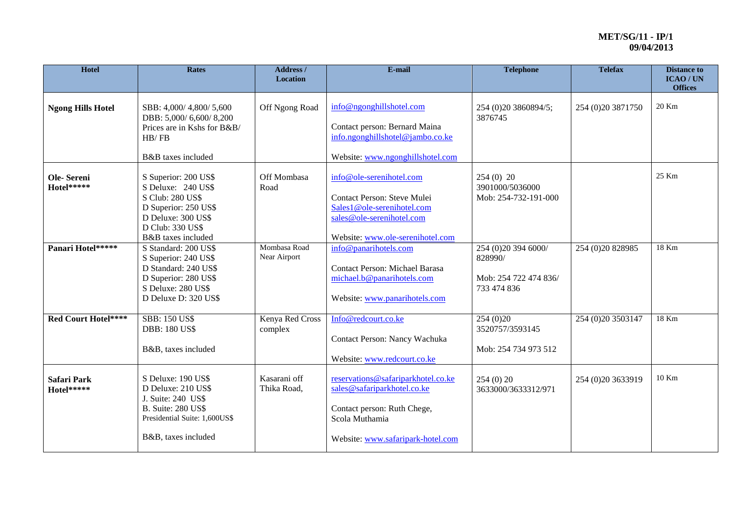| Hotel                     | <b>Rates</b>                                                                                                                                           | Address /<br><b>Location</b> | E-mail                                                                                                                                                  | <b>Telephone</b>                                                       | <b>Telefax</b>       | <b>Distance to</b><br><b>ICAO/UN</b><br><b>Offices</b> |
|---------------------------|--------------------------------------------------------------------------------------------------------------------------------------------------------|------------------------------|---------------------------------------------------------------------------------------------------------------------------------------------------------|------------------------------------------------------------------------|----------------------|--------------------------------------------------------|
| <b>Ngong Hills Hotel</b>  | SBB: 4,000/4,800/5,600<br>DBB: 5,000/6,600/8,200<br>Prices are in Kshs for B&B/<br>HB/FB<br>B&B taxes included                                         | Off Ngong Road               | info@ngonghillshotel.com<br>Contact person: Bernard Maina<br>info.ngonghillshotel@jambo.co.ke<br>Website: www.ngonghillshotel.com                       | 254 (0) 20 3860894/5;<br>3876745                                       | 254 (0) 20 3871750   | 20 Km                                                  |
| Ole-Sereni<br>Hotel*****  | S Superior: 200 US\$<br>S Deluxe: 240 US\$<br>S Club: 280 US\$<br>D Superior: 250 US\$<br>D Deluxe: 300 US\$<br>D Club: 330 US\$<br>B&B taxes included | Off Mombasa<br>Road          | info@ole-serenihotel.com<br>Contact Person: Steve Mulei<br>Sales1@ole-serenihotel.com<br>sales@ole-serenihotel.com<br>Website: www.ole-serenihotel.com  | $254(0)$ 20<br>3901000/5036000<br>Mob: 254-732-191-000                 |                      | 25 Km                                                  |
| Panari Hotel*****         | S Standard: 200 US\$<br>S Superior: 240 US\$<br>D Standard: 240 US\$<br>D Superior: 280 US\$<br>S Deluxe: 280 US\$<br>D Deluxe D: 320 US\$             | Mombasa Road<br>Near Airport | info@panarihotels.com<br><b>Contact Person: Michael Barasa</b><br>michael.b@panarihotels.com<br>Website: www.panarihotels.com                           | 254 (0)20 394 6000/<br>828990/<br>Mob: 254 722 474 836/<br>733 474 836 | 254 (0) 20 8 289 85  | 18 Km                                                  |
| Red Court Hotel****       | <b>SBB: 150 US\$</b><br><b>DBB: 180 US\$</b><br>B&B, taxes included                                                                                    | Kenya Red Cross<br>complex   | Info@redcourt.co.ke<br>Contact Person: Nancy Wachuka<br>Website: www.redcourt.co.ke                                                                     | 254(0)20<br>3520757/3593145<br>Mob: 254 734 973 512                    | 254 (0) 20 35 03 147 | 18 Km                                                  |
| Safari Park<br>Hotel***** | S Deluxe: 190 US\$<br>D Deluxe: 210 US\$<br>J. Suite: 240 US\$<br><b>B.</b> Suite: 280 US\$<br>Presidential Suite: 1,600US\$<br>B&B, taxes included    | Kasarani off<br>Thika Road,  | reservations@safariparkhotel.co.ke<br>sales@safariparkhotel.co.ke<br>Contact person: Ruth Chege,<br>Scola Muthamia<br>Website: www.safaripark-hotel.com | 254(0)20<br>3633000/3633312/971                                        | 254 (0) 20 3633919   | 10 Km                                                  |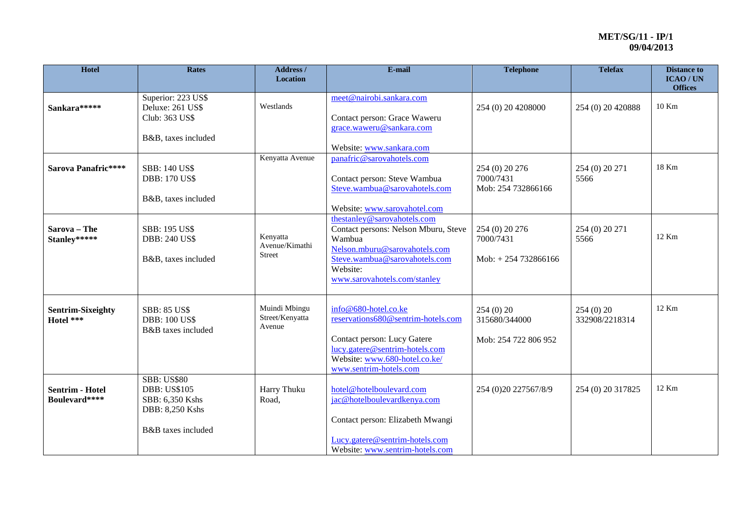| Hotel                                   | <b>Rates</b>                                                                                          | Address /<br>Location                       | E-mail                                                                                                                                                                                      | <b>Telephone</b>                                      | <b>Telefax</b>               | <b>Distance to</b><br><b>ICAO/UN</b><br><b>Offices</b> |
|-----------------------------------------|-------------------------------------------------------------------------------------------------------|---------------------------------------------|---------------------------------------------------------------------------------------------------------------------------------------------------------------------------------------------|-------------------------------------------------------|------------------------------|--------------------------------------------------------|
| Sankara*****                            | Superior: 223 US\$<br>Deluxe: 261 US\$<br>Club: 363 US\$<br>B&B, taxes included                       | Westlands                                   | meet@nairobi.sankara.com<br>Contact person: Grace Waweru<br>grace.waweru@sankara.com<br>Website: www.sankara.com                                                                            | 254 (0) 20 4208000                                    | 254 (0) 20 420888            | 10 Km                                                  |
| Sarova Panafric****                     | <b>SBB: 140 US\$</b><br><b>DBB: 170 US\$</b><br>B&B, taxes included                                   | Kenyatta Avenue                             | panafric@sarovahotels.com<br>Contact person: Steve Wambua<br>Steve.wambua@sarovahotels.com<br>Website: www.sarovahotel.com                                                                  | 254 (0) 20 276<br>7000/7431<br>Mob: 254 732866166     | 254 (0) 20 271<br>5566       | 18 Km                                                  |
| Sarova - The<br>Stanley*****            | SBB: 195 US\$<br><b>DBB: 240 US\$</b><br>B&B, taxes included                                          | Kenyatta<br>Avenue/Kimathi<br><b>Street</b> | thestanley@sarovahotels.com<br>Contact persons: Nelson Mburu, Steve<br>Wambua<br>Nelson.mburu@sarovahotels.com<br>Steve.wambua@sarovahotels.com<br>Website:<br>www.sarovahotels.com/stanley | 254 (0) 20 276<br>7000/7431<br>$Mob: + 254 732866166$ | 254 (0) 20 271<br>5566       | 12 Km                                                  |
| <b>Sentrim-Sixeighty</b><br>Hotel ***   | <b>SBB: 85 US\$</b><br><b>DBB: 100 US\$</b><br>B&B taxes included                                     | Muindi Mbingu<br>Street/Kenyatta<br>Avenue  | info@680-hotel.co.ke<br>reservations680@sentrim-hotels.com<br>Contact person: Lucy Gatere<br>lucy.gatere@sentrim-hotels.com<br>Website: www.680-hotel.co.ke/<br>www.sentrim-hotels.com      | 254(0)20<br>315680/344000<br>Mob: 254 722 806 952     | 254 (0) 20<br>332908/2218314 | 12 Km                                                  |
| <b>Sentrim - Hotel</b><br>Boulevard**** | <b>SBB: US\$80</b><br><b>DBB: US\$105</b><br>SBB: 6,350 Kshs<br>DBB: 8,250 Kshs<br>B&B taxes included | Harry Thuku<br>Road,                        | hotel@hotelboulevard.com<br>jac@hotelboulevardkenya.com<br>Contact person: Elizabeth Mwangi<br>Lucy.gatere@sentrim-hotels.com<br>Website: www.sentrim-hotels.com                            | 254 (0)20 227567/8/9                                  | 254 (0) 20 317825            | 12 Km                                                  |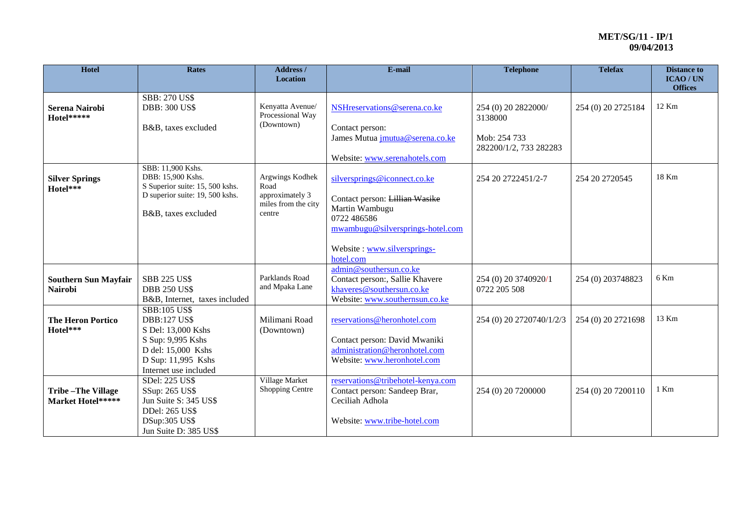| Hotel                                         | <b>Rates</b>                                                                                                                                               | <b>Address /</b><br><b>Location</b>                                         | E-mail                                                                                                                                                                          | <b>Telephone</b>                                                         | <b>Telefax</b>     | <b>Distance to</b><br><b>ICAO/UN</b><br><b>Offices</b> |
|-----------------------------------------------|------------------------------------------------------------------------------------------------------------------------------------------------------------|-----------------------------------------------------------------------------|---------------------------------------------------------------------------------------------------------------------------------------------------------------------------------|--------------------------------------------------------------------------|--------------------|--------------------------------------------------------|
| <b>Serena Nairobi</b><br>Hotel*****           | <b>SBB: 270 US\$</b><br><b>DBB: 300 US\$</b><br>B&B, taxes excluded                                                                                        | Kenyatta Avenue/<br>Processional Way<br>(Downtown)                          | NSHreservations@serena.co.ke<br>Contact person:<br>James Mutua <i>jmutua@serena.co.ke</i><br>Website: www.serenahotels.com                                                      | 254 (0) 20 2822000/<br>3138000<br>Mob: 254 733<br>282200/1/2, 733 282283 | 254 (0) 20 2725184 | 12 Km                                                  |
| <b>Silver Springs</b><br>Hotel***             | SBB: 11,900 Kshs.<br>DBB: 15,900 Kshs.<br>S Superior suite: 15, 500 kshs.<br>D superior suite: 19, 500 kshs.<br>B&B, taxes excluded                        | Argwings Kodhek<br>Road<br>approximately 3<br>miles from the city<br>centre | silversprings@iconnect.co.ke<br>Contact person: Lillian Wasike<br>Martin Wambugu<br>0722 486586<br>mwambugu@silversprings-hotel.com<br>Website: www.silversprings-<br>hotel.com | 254 20 2722451/2-7                                                       | 254 20 27 20545    | 18 Km                                                  |
| <b>Southern Sun Mayfair</b><br><b>Nairobi</b> | <b>SBB 225 US\$</b><br><b>DBB 250 US\$</b><br>B&B, Internet, taxes included                                                                                | Parklands Road<br>and Mpaka Lane                                            | admin@southersun.co.ke<br>Contact person:, Sallie Khavere<br>khaveres@southersun.co.ke<br>Website: www.southernsun.co.ke                                                        | 254 (0) 20 3740920/1<br>0722 205 508                                     | 254 (0) 203748823  | 6 Km                                                   |
| <b>The Heron Portico</b><br>Hotel***          | <b>SBB:105 US\$</b><br><b>DBB:127 US\$</b><br>S Del: 13,000 Kshs<br>S Sup: 9,995 Kshs<br>D del: 15,000 Kshs<br>D Sup: 11,995 Kshs<br>Internet use included | Milimani Road<br>(Downtown)                                                 | reservations@heronhotel.com<br>Contact person: David Mwaniki<br>administration@heronhotel.com<br>Website: www.heronhotel.com                                                    | 254 (0) 20 2720740/1/2/3                                                 | 254 (0) 20 2721698 | 13 Km                                                  |
| <b>Tribe-The Village</b><br>Market Hotel***** | SDel: 225 US\$<br>SSup: 265 US\$<br>Jun Suite S: 345 US\$<br><b>DDel: 265 US\$</b><br><b>DSup:305 US\$</b><br>Jun Suite D: 385 US\$                        | Village Market<br><b>Shopping Centre</b>                                    | reservations@tribehotel-kenya.com<br>Contact person: Sandeep Brar,<br>Ceciliah Adhola<br>Website: www.tribe-hotel.com                                                           | 254 (0) 20 7200000                                                       | 254 (0) 20 7200110 | 1 Km                                                   |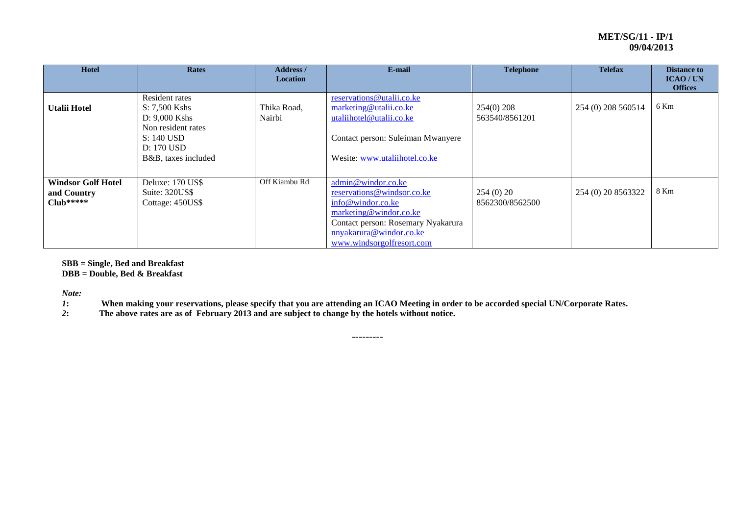| <b>Hotel</b>                                            | <b>Rates</b>                                                                                                                | <b>Address</b> /<br><b>Location</b> | E-mail                                                                                                                                                                                        | <b>Telephone</b>               | <b>Telefax</b>     | <b>Distance to</b><br><b>ICAO/UN</b><br><b>Offices</b> |
|---------------------------------------------------------|-----------------------------------------------------------------------------------------------------------------------------|-------------------------------------|-----------------------------------------------------------------------------------------------------------------------------------------------------------------------------------------------|--------------------------------|--------------------|--------------------------------------------------------|
| <b>Utalii Hotel</b>                                     | Resident rates<br>S: 7,500 Kshs<br>$D: 9,000$ Kshs<br>Non resident rates<br>S: 140 USD<br>D: 170 USD<br>B&B, taxes included | Thika Road,<br>Nairbi               | reservations@utalii.co.ke<br>marketing@utalii.co.ke<br>utaliihotel@utalii.co.ke<br>Contact person: Suleiman Mwanyere<br>Wesite: www.utaliihotel.co.ke                                         | $254(0)$ 208<br>563540/8561201 | 254 (0) 208 560514 | 6 Km                                                   |
| <b>Windsor Golf Hotel</b><br>and Country<br>$Club*****$ | Deluxe: 170 US\$<br>Suite: 320US\$<br>Cottage: 450US\$                                                                      | Off Kiambu Rd                       | admin@windor.co.ke<br>reservations@windsor.co.ke<br>info@windor.co.ke<br>marketing@windor.co.ke<br>Contact person: Rosemary Nyakarura<br>nnyakarura@windor.co.ke<br>www.windsorgolfresort.com | 254(0)20<br>8562300/8562500    | 254 (0) 20 8563322 | 8 Km                                                   |

**SBB = Single, Bed and Breakfast**

**DBB = Double, Bed & Breakfast**

*Note:*

*1***:** When making your reservations, please specify that you are attending an ICAO Meeting in order to be accorded special UN/Corporate Rates.<br>2: The above rates are as of February 2013 and are subject to change by the ho

---------

*2***: The above rates are as of February 2013 and are subject to change by the hotels without notice.**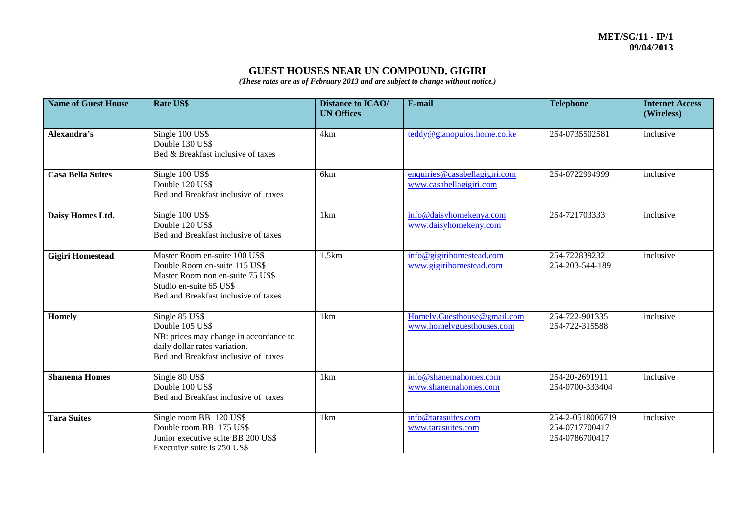# **GUEST HOUSES NEAR UN COMPOUND, GIGIRI**

*(These rates are as of February 2013 and are subject to change without notice.)*

| <b>Name of Guest House</b> | <b>Rate US\$</b>                                                                                                                                                      | <b>Distance to ICAO/</b><br><b>UN Offices</b> | E-mail                                                   | <b>Telephone</b>                                     | <b>Internet Access</b><br>(Wireless) |
|----------------------------|-----------------------------------------------------------------------------------------------------------------------------------------------------------------------|-----------------------------------------------|----------------------------------------------------------|------------------------------------------------------|--------------------------------------|
| Alexandra's                | Single 100 US\$<br>Double 130 US\$<br>Bed & Breakfast inclusive of taxes                                                                                              | 4km                                           | teddy@gianopulos.home.co.ke                              | 254-0735502581                                       | inclusive                            |
| <b>Casa Bella Suites</b>   | Single 100 US\$<br>Double 120 US\$<br>Bed and Breakfast inclusive of taxes                                                                                            | 6km                                           | enquiries@casabellagigiri.com<br>www.casabellagigiri.com | 254-0722994999                                       | inclusive                            |
| Daisy Homes Ltd.           | Single 100 US\$<br>Double 120 US\$<br>Bed and Breakfast inclusive of taxes                                                                                            | 1km                                           | info@daisyhomekenya.com<br>www.daisyhomekeny.com         | 254-721703333                                        | inclusive                            |
| <b>Gigiri Homestead</b>    | Master Room en-suite 100 US\$<br>Double Room en-suite 115 US\$<br>Master Room non en-suite 75 US\$<br>Studio en-suite 65 US\$<br>Bed and Breakfast inclusive of taxes | 1.5km                                         | info@gigirihomestead.com<br>www.gigirihomestead.com      | 254-722839232<br>254-203-544-189                     | inclusive                            |
| <b>Homely</b>              | Single 85 US\$<br>Double 105 US\$<br>NB: prices may change in accordance to<br>daily dollar rates variation.<br>Bed and Breakfast inclusive of taxes                  | 1km                                           | Homely.Guesthouse@gmail.com<br>www.homelyguesthouses.com | 254-722-901335<br>254-722-315588                     | inclusive                            |
| <b>Shanema Homes</b>       | Single 80 US\$<br>Double 100 US\$<br>Bed and Breakfast inclusive of taxes                                                                                             | 1km                                           | info@shanemahomes.com<br>www.shanemahomes.com            | 254-20-2691911<br>254-0700-333404                    | inclusive                            |
| <b>Tara Suites</b>         | Single room BB 120 US\$<br>Double room BB 175 US\$<br>Junior executive suite BB 200 US\$<br>Executive suite is 250 US\$                                               | 1km                                           | info@tarasuites.com<br>www.tarasuites.com                | 254-2-0518006719<br>254-0717700417<br>254-0786700417 | inclusive                            |